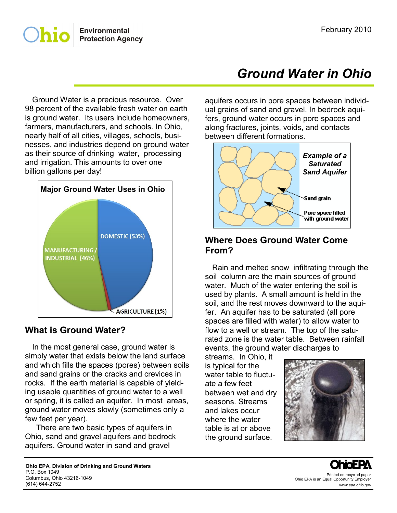

 Ground Water is a precious resource. Over 98 percent of the available fresh water on earth is ground water. Its users include homeowners, farmers, manufacturers, and schools. In Ohio, nearly half of all cities, villages, schools, businesses, and industries depend on ground water as their source of drinking water, processing and irrigation. This amounts to over one billion gallons per day!



#### **What is Ground Water?**

 In the most general case, ground water is simply water that exists below the land surface and which fills the spaces (pores) between soils and sand grains or the cracks and crevices in rocks. If the earth material is capable of yielding usable quantities of ground water to a well or spring, it is called an aquifer. In most areas, ground water moves slowly (sometimes only a few feet per year).

There are two basic types of aquifers in Ohio, sand and gravel aquifers and bedrock aquifers. Ground water in sand and gravel

# *Ground Water in Ohio*

aquifers occurs in pore spaces between individual grains of sand and gravel. In bedrock aquifers, ground water occurs in pore spaces and along fractures, joints, voids, and contacts between different formations.



#### **Where Does Ground Water Come From?**

 Rain and melted snow infiltrating through the soil column are the main sources of ground water. Much of the water entering the soil is used by plants. A small amount is held in the soil, and the rest moves downward to the aquifer. An aquifer has to be saturated (all pore spaces are filled with water) to allow water to flow to a well or stream. The top of the saturated zone is the water table. Between rainfall events, the ground water discharges to

streams. In Ohio, it is typical for the water table to fluctuate a few feet between wet and dry seasons. Streams and lakes occur where the water table is at or above the ground surface.



Printed on recycled paper Ohio EPA is an Equal Opportunity Employer *www.epa.ohio.gov*

**Ohio EPA, Division of Drinking and Ground Waters** P.O. Box 1049 Columbus, Ohio 43216-1049 (614) 644-2752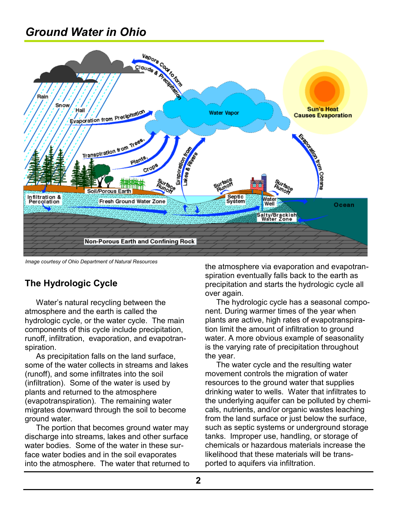## *Ground Water in Ohio*



*Image courtesy of Ohio Department of Natural Resources*

## **The Hydrologic Cycle**

Water's natural recycling between the atmosphere and the earth is called the hydrologic cycle, or the water cycle. The main components of this cycle include precipitation, runoff, infiltration, evaporation, and evapotranspiration.

As precipitation falls on the land surface, some of the water collects in streams and lakes (runoff), and some infiltrates into the soil (infiltration). Some of the water is used by plants and returned to the atmosphere (evapotranspiration). The remaining water migrates downward through the soil to become ground water.

The portion that becomes ground water may discharge into streams, lakes and other surface water bodies. Some of the water in these surface water bodies and in the soil evaporates into the atmosphere. The water that returned to the atmosphere via evaporation and evapotranspiration eventually falls back to the earth as precipitation and starts the hydrologic cycle all over again.

The hydrologic cycle has a seasonal component. During warmer times of the year when plants are active, high rates of evapotranspiration limit the amount of infiltration to ground water. A more obvious example of seasonality is the varying rate of precipitation throughout the year.

The water cycle and the resulting water movement controls the migration of water resources to the ground water that supplies drinking water to wells. Water that infiltrates to the underlying aquifer can be polluted by chemicals, nutrients, and/or organic wastes leaching from the land surface or just below the surface, such as septic systems or underground storage tanks. Improper use, handling, or storage of chemicals or hazardous materials increase the likelihood that these materials will be transported to aquifers via infiltration.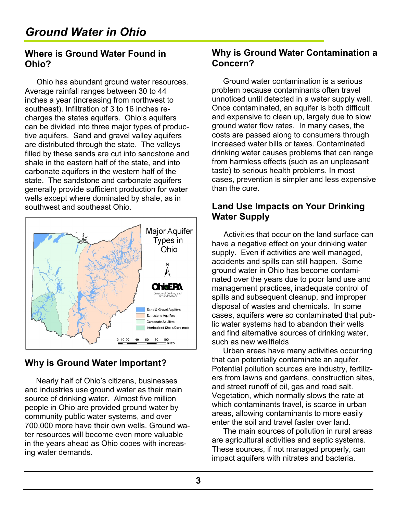#### **Where is Ground Water Found in Ohio?**

Ohio has abundant ground water resources. Average rainfall ranges between 30 to 44 inches a year (increasing from northwest to southeast). Infiltration of 3 to 16 inches recharges the states aquifers. Ohio's aquifers can be divided into three major types of productive aquifers. Sand and gravel valley aquifers are distributed through the state. The valleys filled by these sands are cut into sandstone and shale in the eastern half of the state, and into carbonate aquifers in the western half of the state. The sandstone and carbonate aquifers generally provide sufficient production for water wells except where dominated by shale, as in southwest and southeast Ohio.



## **Why is Ground Water Important?**

Nearly half of Ohio's citizens, businesses and industries use ground water as their main source of drinking water. Almost five million people in Ohio are provided ground water by community public water systems, and over 700,000 more have their own wells. Ground water resources will become even more valuable in the years ahead as Ohio copes with increasing water demands.

### **Why is Ground Water Contamination a Concern?**

Ground water contamination is a serious problem because contaminants often travel unnoticed until detected in a water supply well. Once contaminated, an aquifer is both difficult and expensive to clean up, largely due to slow ground water flow rates. In many cases, the costs are passed along to consumers through increased water bills or taxes. Contaminated drinking water causes problems that can range from harmless effects (such as an unpleasant taste) to serious health problems. In most cases, prevention is simpler and less expensive than the cure.

### **Land Use Impacts on Your Drinking Water Supply**

Activities that occur on the land surface can have a negative effect on your drinking water supply. Even if activities are well managed, accidents and spills can still happen. Some ground water in Ohio has become contaminated over the years due to poor land use and management practices, inadequate control of spills and subsequent cleanup, and improper disposal of wastes and chemicals. In some cases, aquifers were so contaminated that public water systems had to abandon their wells and find alternative sources of drinking water, such as new wellfields

Urban areas have many activities occurring that can potentially contaminate an aquifer. Potential pollution sources are industry, fertilizers from lawns and gardens, construction sites, and street runoff of oil, gas and road salt. Vegetation, which normally slows the rate at which contaminants travel, is scarce in urban areas, allowing contaminants to more easily enter the soil and travel faster over land.

The main sources of pollution in rural areas are agricultural activities and septic systems. These sources, if not managed properly, can impact aquifers with nitrates and bacteria.